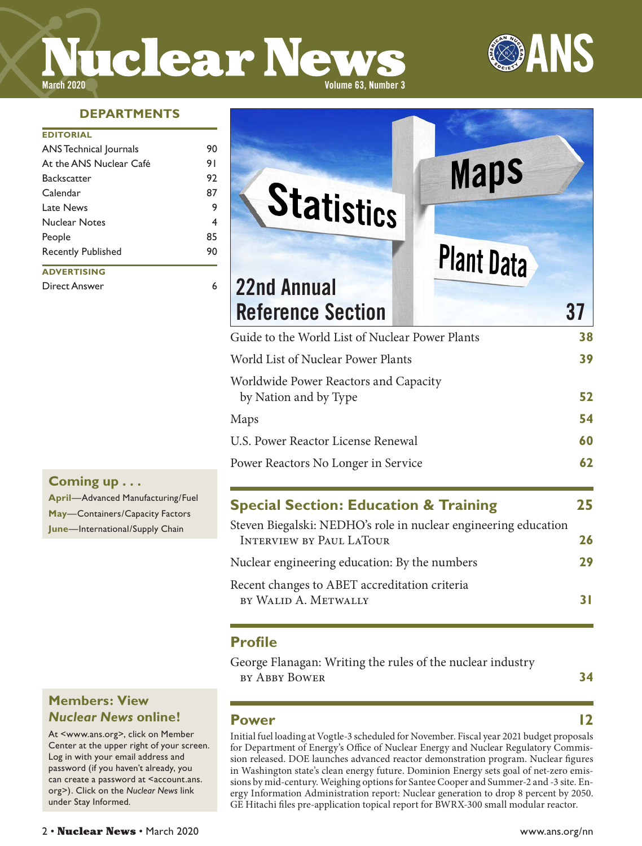# **Nuclear News**



#### **DEPARTMENTS**

#### **EDITORIAL**

| <b>ANS Technical Journals</b> | 90 |
|-------------------------------|----|
| At the ANS Nuclear Café       | 91 |
| <b>Backscatter</b>            | 92 |
| Calendar                      | 87 |
| Late News                     | 9  |
| <b>Nuclear Notes</b>          | 4  |
| People                        | 85 |
| <b>Recently Published</b>     | 90 |
| <b>ADVERTISING</b>            |    |
| Direct Answer                 |    |

# **Coming up . . .**

**April**—Advanced Manufacturing/Fuel **May**—Containers/Capacity Factors **June**—International/Supply Chain

#### **Members: View**  *Nuclear News* **online!**

At <www.ans.org>, click on Member Center at the upper right of your screen. Log in with your email address and password (if you haven't already, you can create a password at <account.ans. org>). Click on the *Nuclear News* link under Stay Informed*.*

| <b>Plant Data</b> | 37                                                                                       |
|-------------------|------------------------------------------------------------------------------------------|
|                   | 38                                                                                       |
|                   | 39                                                                                       |
|                   | 52                                                                                       |
|                   | 54                                                                                       |
|                   | 60                                                                                       |
|                   | 62                                                                                       |
|                   | Guide to the World List of Nuclear Power Plants<br>Worldwide Power Reactors and Capacity |

# **Special Section: Education & Training 25**

| Steven Biegalski: NEDHO's role in nuclear engineering education |           |
|-----------------------------------------------------------------|-----------|
| <b>INTERVIEW BY PAUL LATOUR</b>                                 | 26        |
| Nuclear engineering education: By the numbers                   | 29        |
| Recent changes to ABET accreditation criteria                   |           |
| BY WALID A. METWALLY                                            | <b>31</b> |

#### **Profile**

George Flanagan: Writing the rules of the nuclear industry by Abby Bower **34**

#### **Power 12**

Initial fuel loading at Vogtle-3 scheduled for November. Fiscal year 2021 budget proposals for Department of Energy's Office of Nuclear Energy and Nuclear Regulatory Commission released. DOE launches advanced reactor demonstration program. Nuclear figures in Washington state's clean energy future. Dominion Energy sets goal of net-zero emissions by mid-century. Weighing options for Santee Cooper and Summer-2 and -3 site. Energy Information Administration report: Nuclear generation to drop 8 percent by 2050. GE Hitachi files pre-application topical report for BWRX-300 small modular reactor.